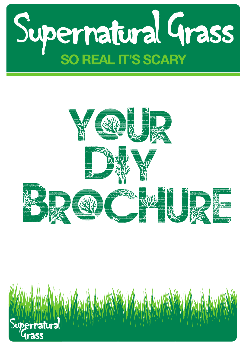



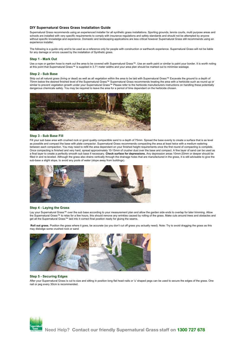#### **DIY Supernatural Grass Grass Installation Guide**

Supernatural Grass recommends using an experienced installer for all synthetic grass installations. Sporting grounds, tennis courts, multi purpose areas and schools are installed with very specific requirements to comply with insurance regulations and safety standards and should not be attempted by anyone without specific knowledge and experience. Domestic and landscaping applications are less critical however Supernatural Grass still recommends using an experience installer.

The following is a guide only and to be used as a reference only for people with construction or earthwork experience. Supernatural Grass will not be liable for any damage or errors caused by the installation of Synthetic grass.

#### **Step 1 - Mark Out**

Use a rope or garden hose to mark out the area to be covered with Supernatural Grass™. Use an earth paint or similar to paint your border. It is worth noting at this point that Supernatural Grass™ is supplied in 3.71 meter widths and your area plan should be marked out to minimise wastage.

#### **Step 2 - Sub Base**

Strip out all natural grass (living or dead) as well as all vegetation within the area to be laid with Supernatural Grass™ Excavate the ground to a depth of 75mm below the desired finished level of the Supernatural Grass™ Supernatural Grass recommends treating the area with a herbicide such as round up or similar to prevent vegetation growth under your Supernatural Grass™ Please refer to the herbicide manufacturers instructions on handling these potentially dangerous chemicals safely. You may be required to leave the area for a period of time dependant on the herbicide chosen.



#### **Step 3 - Sub Base Fill**

Fill your sub base area with crushed rock or good quality compactible sand to a depth of 75mm. Spread the base evenly to create a surface that is as level as possible and compact the base with plate compactor. Supernatural Grass recommends compacting the area at least twice with a medium watering between each compaction. You may need to refill the area dependant on your finished height requirements once the first round of compacting is complete. Once compacting is finished and very hard, spread approximately 10-15mm of crusher dust over the base and compact. A fine layer of sand can be used as a final layer to create a perfectly smooth sub base if necessary. **Check surface for depressions.** Any depression areas 10mm-20mm or deeper should be filled in and re-leveled. Although the grass also drains vertically through the drainage holes that are manufactured in the grass, it is still advisable to give the sub-base a slight slope, to avoid any pools of water (slope away from buildings).



#### **Step 4 - Laying the Grass**

Lay your Supernatural Grass™ over the sub base according to your measurement plan and allow the garden side ends to overlap for later trimming. Allow the Supernatural Grass™ to relax for a few hours, this should remove any wrinkles caused by rolling of the grass. Make cuts around trees and obstacles and get all the Supernatural Grass™ laid into it correct final position ready for gluing the seams.

Roll out grass. Position the grass where it goes, be accurate (so you don't cut off grass you actually need). Note: Try to avoid dragging the grass as this may dislodge some crushed rock or sand



## **Step 5 - Securing Edges**

After your Supernatural Grass is cut to size and sitting in position long flat head nails or 'u' shaped pegs can be used to secure the edges of the grass. One nail or peg every 30cm is recommended.

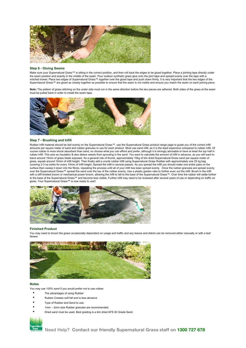

#### **Step 6 - Gluing Seams**

Make sure your Supernatural Grass™ is sitting in the correct position, and then roll back the edges to be glued together. Place a jointing tape directly under the seam position and exactly in the middle of the seam. Pour outdoor synthetic grass glue onto the joint tape and spread evenly over the tape with a<br>notched trowel. Place two edges of Supernatural Grass™ together over th Supernatural Grass™ are glued as closely together as possible to ensure that the seam is not visible and ensure you match the seam on each joining piece.

Note: The pattern of grass stitching on the under side must run in the same direction before the two pieces are adhered. Both sides of the grass at the seam must be pulled back in order to install the seam tape.



#### **Step 7 - Brushing and Infill**

Rubber infill material should be laid evenly on the Supernatural Grass™, use the Supernatural Grass product range page to guide you of the correct infill amounts per square meter of sand and rubber granules to use for each product. Most use sand infill, as it is the least expensive compared to rubber infill. Of course rubber is more shock absorbent than sand, so choose what you can afford and prefer, although it is strongly advisable to have at least the top half in<br>rubber infill. This acts as insulation & also deters weeds from leave around 15mm of grass blade exposed. As a general rule of thumb, approximately 10kg of kiln dried Supernatural Grass sand per square meter of grass, equals around 10mm of infill height. Then finally add a crumb rubber infill using Supernatural Grass Rubber with approximately one 25 kg bag covering 2-3 sq metre for every 10mm of infill height. Spread the infill in several passes. As you spread the infill you should make one entire pass on the surface then sweep it down into the fibres, repeating the process until all of your infill has been spread evenly. Once the rubber granules are spread evenly over the Supernatural Grass™ spread the sand over the top of the rubber evenly, Use a plastic garden rake to further even out the infill. Brush in the infill with a stiff bristled broom or mechanical power broom, allowing the infill to fall to the base of the Supernatural Grass™. Over time the rubber will settle further to the base of the Supernatural Grass™ and become less visible. Further infill may need to be reviewed after several years of use or depending on traffic on grass. Your Supernatural Grass™ is now ready to use!!



#### **Finished Product**

You may need to broom the grass occasionally dependant on usage and traffic and any leaves and debris can be removed either manually or with a leaf blower.



#### **Notes**

You may use 100% sand if you would prefer not to use rubber.

- The advantages of using Rubber
- Rubber Creates soft fall and is less abrasive
- Type of Rubber and Sand to use:
- 1mm 2mm size Rubber granules are recommended.
- Dried sand must be used. Best grading is a kiln dried AFS 40 Grade Sand.

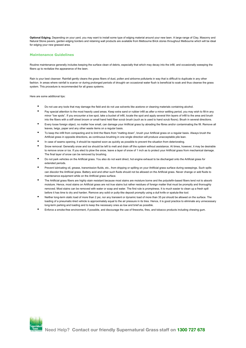**Optional Edging.** Depending on your yard, you may want to install some type of edging material around your new lawn. A large range of Clay, Masonry and Natural Stone pavers, garden edging borders and retaining wall products are available from Melbourne Brick stores throughout Melbourne which will be ideal for edging your new grassed area.

### **Maintenance Guidelines**

Routine maintenance generally includes keeping the surface clean of debris, especially that which may decay into the infill, and occasionally sweeping the fibers up to revitalize the appearance of the lawn.

Rain is your best cleanser. Rainfall gently cleans the grass fibers of dust, pollen and airborne pollutants in way that is difficult to duplicate in any other fashion. In areas where rainfall is scarce–or during prolonged periods of drought–an occasional water flush is beneficial to soak and thus cleanse the grass system. This procedure is recommended for all grass systems.

Here are some additional tips:

- Do not use any tools that may damage the field and do not use solvents like acetone or cleaning materials containing alcohol.
- Pay special attention to the most heavily used areas. Keep extra sand or rubber infill as after a minor settling period, you may wish to fill-in any minor "low spots". If you encounter a low spot, take a bucket of infill, locate the spot and apply several thin layers of infill to the area and brush into the fibers with a stiff street broom or small hand held fiber scrub brush (such as is used to hand scrub floors). Brush in several directions.
- Every loose foreign object, no matter how small, can damage your Artificial grass by abrading the fibres and/or contaminating the fill. Remove all leaves, twigs, paper and any other waste items on a regular basis.
- To keep the infill from compacting and to limit the fibers from "matting down", brush your Artificial grass on a regular basis. Always brush the Artificial grass in opposite directions, as continuous brushing in one single direction will produce unacceptable pile lean.
- In case of seams opening, it should be repaired soon as quickly as possible to prevent the situation from deteriorating.
- Snow removal: Generally snow and ice should be left to melt and drain off the system without assistance. At times, however, it may be desirable to remove snow or ice. If you elect to plow the snow, leave a layer of snow of 1 inch as to protect your Artificial grass from mechanical damage. The final layer of snow can be removed by brushing.
- Do not park vehicles on the Artificial grass. You also do not want direct, hot engine exhaust to be discharged onto the Artificial grass for extended periods.
- Prevent lubricating oil, grease, transmission fluids, etc., from dripping or spilling on your Artificial grass surface during sweepings. Such spills can discolor the Artificial grass. Battery acid and other such fluids should not be allowed on the Artificial grass. Never change or add fluids to maintenance equipment while on the Artificial grass surface.
- The Artificial grass fibers are highly stain resistant because most stains are moisture borne and the polyolefin-based fibers tend not to absorb moisture. Hence, most stains on Artificial grass are not true stains but rather residues of foreign matter that must be promptly and thoroughly removed. Most stains can be removed with water or soap and water. The first rule is promptness. It is much easier to clean up a fresh spill before it has time to dry and harden. Remove any solid or putty-like deposit promptly using a dull knife or spatula-like tool.
- Neither long-term static load of more than 2 psi, nor any transient or dynamic load of more than 35 psi should be allowed on the surface. The loading of a pneumatic-tired vehicle is approximately equal to the air pressure in its tires. Hence, it is good practice to eliminate any unnecessary long-term parking and loading and to keep the necessary ones as low and brief as possible.
- Enforce a smoke-free environment, if possible, and discourage the use of fireworks, fires, and tobacco products including chewing gum.